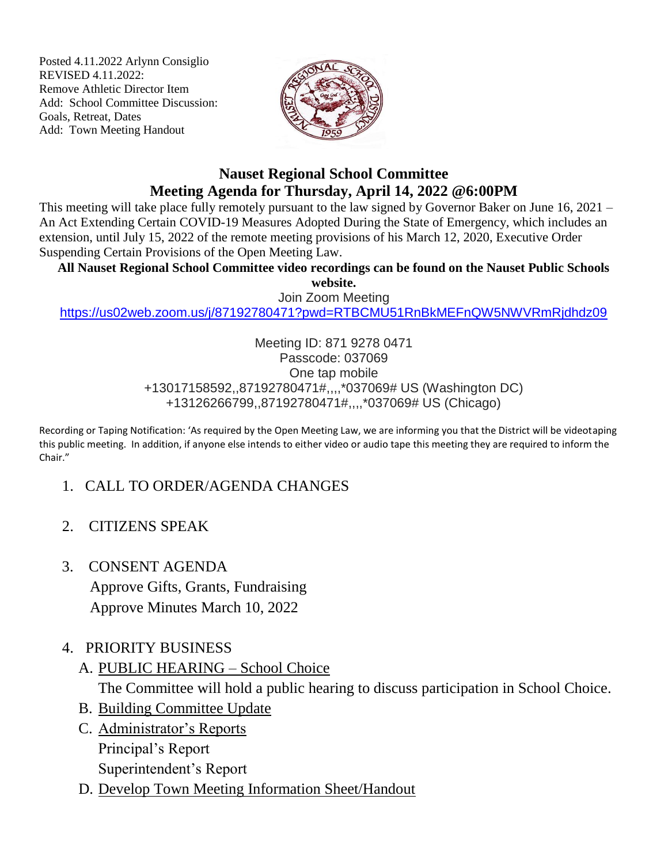Posted 4.11.2022 Arlynn Consiglio REVISED 4.11.2022: Remove Athletic Director Item Add: School Committee Discussion: Goals, Retreat, Dates Add: Town Meeting Handout



## **Nauset Regional School Committee Meeting Agenda for Thursday, April 14, 2022 @6:00PM**

This meeting will take place fully remotely pursuant to the law signed by Governor Baker on June 16, 2021 – An Act Extending Certain COVID-19 Measures Adopted During the State of Emergency, which includes an extension, until July 15, 2022 of the remote meeting provisions of his March 12, 2020, Executive Order Suspending Certain Provisions of the Open Meeting Law.

**All Nauset Regional School Committee video recordings can be found on the Nauset Public Schools website.**

Join Zoom Meeting

<https://us02web.zoom.us/j/87192780471?pwd=RTBCMU51RnBkMEFnQW5NWVRmRjdhdz09>

Meeting ID: 871 9278 0471 Passcode: 037069 One tap mobile +13017158592,,87192780471#,,,,\*037069# US (Washington DC) +13126266799,,87192780471#,,,,\*037069# US (Chicago)

Recording or Taping Notification: 'As required by the Open Meeting Law, we are informing you that the District will be videotaping this public meeting. In addition, if anyone else intends to either video or audio tape this meeting they are required to inform the Chair."

- 1. CALL TO ORDER/AGENDA CHANGES
- 2. CITIZENS SPEAK
- 3. CONSENT AGENDA Approve Gifts, Grants, Fundraising Approve Minutes March 10, 2022
- 4. PRIORITY BUSINESS
	- A. PUBLIC HEARING School Choice

The Committee will hold a public hearing to discuss participation in School Choice.

- B. Building Committee Update
- C. Administrator's Reports Principal's Report Superintendent's Report
- D. Develop Town Meeting Information Sheet/Handout